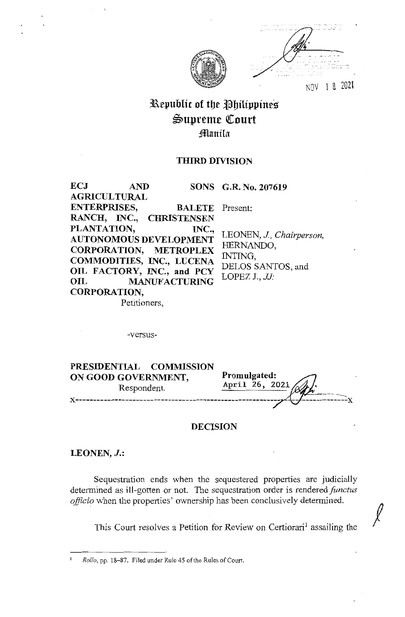

NOV l B 202\

*!* 

# **31.\epublic of tbe ~bilippine:S**   $\mathfrak{S}$ upreme Court **:fflanila**

## **THIRD DIVISION**

**SONS G.R. No. 207619**  Present: **ECJ AND AGRICULTURAL ENTERPRISES, BALETE RANCH, INC., CHRISTENSEN PLANTATION, INC., AUTONOMOUS DEVELOPMENT CORPORATION, METROPLEX COMMODITIES, INC., LUCENA OIL FACTORY, INC., and PCY OIL MANUFACTURING CORPORATION,**  LEONEN, *J, Chairperson,*  HERNANDO, INTING, DELOS SANTOS, and LOPEZ J., *JJ-*

Petitioners,

-versus-

| PRESIDENTIAL COMMISSION<br>ON GOOD GOVERNMENT,<br>Respondent. | Promulgated:<br>April 26, 2021 |
|---------------------------------------------------------------|--------------------------------|
|                                                               |                                |

### **DECISION**

### **LEONEN,** *J.:*

Sequestration ends when the sequestered properties are judicially determined as ill-gotten or not. The sequestration order is rendered functus *officio* when the properties' ownership has been conclusively determined.

This Court resolves a Petition for Review on Certiorari<sup>1</sup> assailing the

Rollo, pp. 18-87. Filed under Rule 45 of the Rules of Court.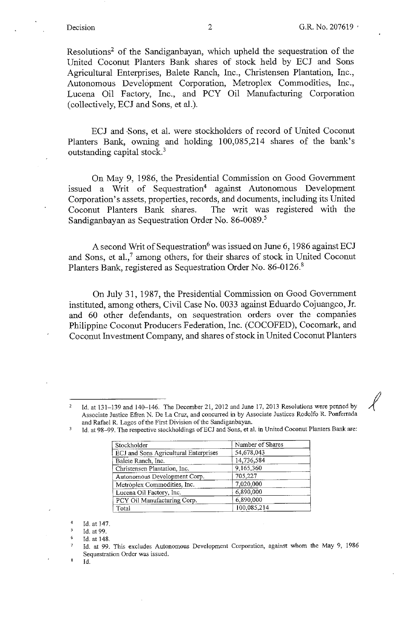Resolutions<sup>2</sup> of the Sandiganbayan, which upheld the sequestration of the United Coconut Planters Bank shares of stock held by ECJ and Sons Agricultural Enterprises, Balete Ranch, Inc., Christensen Plantation, Inc., Autonomous Development Corporation, Metroplex Commodities, Inc., Lucena Oil Factory, Inc., and PCY Oil Manufacturing Corporation (collectively, ECJ and Sons, et al.).

ECJ and Sons, et al. were stockholders of record of United Coconut Planters Bank, owning and holding 100,085,214 shares of the bank's outstanding capital stock.<sup>3</sup>

On May 9, 1986, the Presidential Commission on Good Government issued a Writ of Sequestration<sup>4</sup> against Autonomous Development Corporation's assets, properties, records, and documents, including its United Coconut Planters Bank shares. The writ was registered with the Sandiganbayan as Sequestration Order No. 86-0089.<sup>5</sup>

A second Writ of Sequestration<sup>6</sup> was issued on June 6, 1986 against ECJ and Sons, et al.,<sup>7</sup> among others, for their shares of stock in United Coconut Planters Bank, registered as Sequestration Order No. 86-0126.<sup>8</sup>

On July 31, 1987, the Presidential Commission on Good Government instituted, among others, Civil Case No. 0033 against Eduardo Cojuangco, Jr. and 60 other defendants, on sequestration orders over the companies Philippine Coconut Producers Federation, Inc. (COCOFED), Cocomark, and Coconut Investment Company, and shares of stock in United Coconut Planters

2 Id. at 131-139 and 140-146. The December 21, 2012 and June 17, 2013 Resolutions were penned by Associate Justice Efren N. De La Cruz, and concurred in by Associate Justices Rodolfo R. Ponferrada and Rafael R. Lagos of the First Division of the Sandiganbayan.

Id. at 98-99. The respective stockholdings of ECJ and Sons, et al. in United Coconut Planters Bank are:

| Stockholder                           | Number of Shares |
|---------------------------------------|------------------|
| ECJ and Sons Agricultural Enterprises | 54,678,043       |
| Balete Ranch, Inc.                    | 14,736,584       |
| Christensen Plantation, Inc.          | 9,165,360        |
| Autonomous Development Corp.          | 705,227          |
| Metróplex Commodities, Inc.           | 7,020,000        |
| Lucena Oil Factory, Inc.              | 6,890,000        |
| PCY Oil Manufacturing Corp.           | 6,890,000        |
| Total                                 | 100,085,214      |

4 Id. at 147.

5 Id. at 99.

6 Id. at 148.

Id.

&

Id. at 99. This excludes Autonomous Development Corporation, against whom the May 9, 1986 **Sequestration Order was issued.**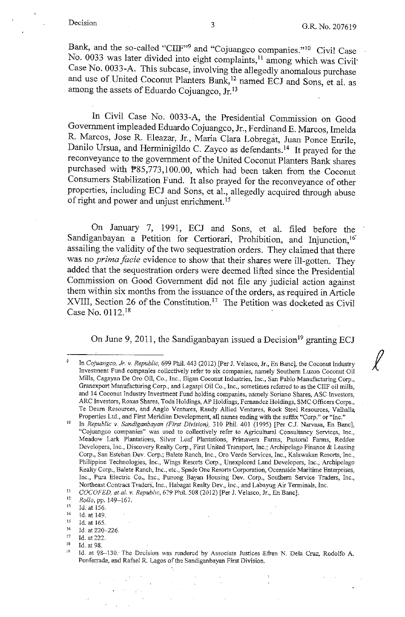$\ell$ 

Bank, and the so-called "CIIF"<sup>9</sup> and "Cojuangco companies."<sup>10</sup> Civil Case No. 0033 was later divided into eight complaints,<sup>11</sup> among which was Civil<sup>•</sup> Case No. 0033-A. This subcase, involving the allegedly anomalous purchase and use of United Coconut Planters Bank,<sup>12</sup> named ECJ and Sons, et al. as among the assets of Eduardo Cojuangco, Jr. <sup>13</sup>

In Civil Case No. 0033-A, the Presidential Commission on Good Government impleaded Eduardo Cojuangco, Jr., Ferdinand E. Marcos, Imelda R. Marcos, Jose R. Eleazar, Jr., Maria Clara Lobregat, Juan Ponce Emile, Danilo Ursua, and Herminigildo C. Zayco as defendants.<sup>14</sup> It prayed for the reconveyance to the government of the United Coconut Planters Bank shares purchased with P85,773,100.00, which had been taken from the Coconut Consumers Stabilization Fund. It also prayed for the reconveyance of other properties, including ECJ and Sons, et al., allegedly acquired through abuse of right and power and unjust enrichment.<sup>15</sup>

On January 7, 1991, ECJ and Sons, et al. filed before the Sandiganbayan a Petition for Certiorari, Prohibition, and Injunction, <sup>16</sup> assailing the validity of the two sequestration orders. They claimed that there was no *prima facie* evidence to show that their shares were ill-gotten. They added that the sequestration orders were deemed lifted since the Presidential Commission on Good Government did not file any judicial action against them within six months from the issuance of the orders, as required in Article XVIII, Section 26 of the Constitution.<sup>17</sup> The Petition was docketed as Civil Case No. 0112. <sup>18</sup>

On June 9, 2011, the Sandiganbayan issued a Decision<sup>19</sup> granting ECJ

 $13$  Id. at 156.<br><sup>14</sup> Id. at 140.

In *Cojuangco, Jr. v. Republic,* 699 Phil. 443 (20i2) [Per J. Velasco, Jr., En Banc], the Coconut Industry Investment Fund companies collectively refer to six companies, namely Southern Luzon Coconut Oil **Mills, Cagayan De Oro Oil, Co., Inc., Iligan Coconut Industries, Inc., San Pablo Manufacturing Corp.,**  Granexport Manufacturing Corp., and Legaspi Oil Co., Inc., sometimes referred to as the CUF oil mills, and 14 Coconut Industry Investment Fund holding companies, namely Soriano Shares, ASC Investors, ARC lnvestors, Roxas Shares, Toda Holdings, AP Holdings, Fernandez Holdings, SMC Officers Corps., Te Deum Resources, and Anglo Ventures, Randy Allied Ventures, Rock Steel Resources, Valhalla. Properties Ltd., and First Meridian Development, all names ending with the suffix "Corp." or "Inc."

w In *Republic v. Sandiganbayan (First Division),* 310 Phil. 401 (1995) [Per C.J. Narvasa, En Banc], **"Cojuangco companies" was used to collectively refer to Agricultural Consultancy Services, Inc.,**  Meadow Lark Plantations, Silver Leaf Plantations, Primavera Farms, Pastoral Farms, Reddee Developers, Inc., Discovery Realty Corp., First United Transport, Inc.; Archipelago Finance & Leasing Corp., San Esteban Dev. Corp.; Balete Ranch, Inc., Oro Verde Services, Inc., Kalawakan Resorts, Inc., Philippine Technologies, Inc., Wings Resorts Corp., Unexplored Land Developers, Inc., Archipelago Realty Corp., Balete Ranch, Inc., etc., Spade One Resorts Corporation, Oceanside Maritime Enterprises, Inc., Pura Electric Co., Inc., Punong Bayan Housing Dev. Corp., Southern Service Traders, Inc., Northeast Centract Traders, Inc., Habagat Realty Dev., Inc., and Labayug Air Terminals, Inc. '

<sup>1</sup>*COCOFED, et al. v. Repubhc,* 679 Phil. 508 (2012) [Per J. Velasco, Jr., En Banc]. 12 *Rollo,* pp. I 49-167.

 $12$ 

 $^{14}$  Id. at 149.

 $^{15}$  Id. at 165.<br> $^{16}$  Id. at 220.

 $^{16}$  **Id.** at 220-226.

 $^{17}$  **Id.** at 222.

<sup>&</sup>lt;sup>18</sup> Id. at 98.<br><sup>19</sup> Id. at 98-130. The Decision was rendered by Associate Justices Efren N. Dela Cruz, Rodolfo A. **Ponfen-ada, and Rafael R. Lagos of the Sandiganbayan First Division.**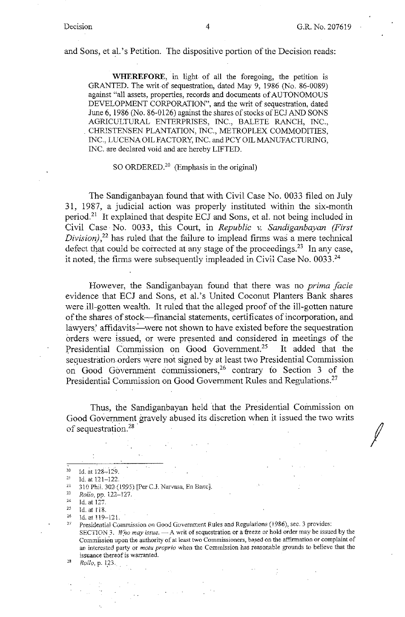and Sons; et al. 's Petition. The dispositive portion of the Decision reads:

**WHEREFORE,** in light of all the foregoing, the petition is GRANTED. The writ of sequestration, dated May 9, 1986 (No. 86-0089) against "all assets, properties, records and documents of AUTONOMOUS DEVELOPMENT CORPORATION", and the writ of sequestration, dated June 6, 1986 (No. 86-0126) against the shares of stocks of ECJ AND SONS AGRICULTURAL ENTERPRISES, INC., BALETE RANCH, INC., CHRISTENSEN PLANTATION, INC., METROPLEX COMMODITIES, INC., LUCENA OIL FACTORY, INC. and PCY OIL MANUFACTURING, INC. are declared void and are hereby LIFTED.

SO ORDERED.20 (Emphasis in the original)

The Sandiganbayan found that with Civil Case No. 0033 filed on July 31, 1987, a judicial action was properly instituted within the six-month period.21 It explained that despite ECJ and Sons, et al. not being included in Civil Case· No. 0033, this Court, in *Republic v. Sandiganbayan (First Division),<sup>22</sup>*has ruled that the failure to implead firms was a mere technical defect that could be corrected at any stage of the proceedings.<sup>23</sup> In any case, it noted, the firms were subsequently impleaded in Civil Case No. 0033.24

However, the Sandiganbayan found that there was no *prima facie*  evidence that ECJ and Sons, et al.'s United Coconut Planters Bank shares were ill-gotten wealth. It ruled that the alleged proof of the ill-gotten nature of the shares of stock-financial statements, certificates of incorporation, and lawyers' affidavits-were not shown to have existed before the sequestration orders were issued, or were presented and considered in meetings of the Presidential Commission on Good Government.<sup>25</sup> It added that the sequestration orders were not signed by at least two Presidential Commission on Good Government commissioners,<sup>26</sup> contrary to Section 3 of the Presidential Commission on Good Government Rules and Regulations.<sup>27</sup>

Thus, the Sandiganbayan held that the Presidential Commission on Good Government gravely abused its discretion when it issued the two writs of sequestration.<sup>28</sup>

- 20 Id. at  $128-129$ .<br>
21 Id. at  $121-122$ .<br>
22 210 Phil 202.
- 
- **a. 310 PhiL 302- (l.995). [Pt:Jr CJ. Narvasa, En Banc].**
- 2 <sup>3</sup>*Rolio,* **pp. 122-127.**

<sup>25</sup> Id. at  $118$ .<br><sup>26</sup> Id. at 119-121.

 $24$  Id. at 127.<br> $25$  Id. at 118

<sup>&</sup>lt;sup>27</sup> Presidential Commission on Good Government Rules and Regulations (1986), sec. 3 provides: SECTION 3. Who may issue. - A writ of sequestration or a freeze or hold order may be issued by the Commission upon the authority of at least two Commissioners, based on the affirmation or complaint of an interested party or *motu proprio* when the Commission has reasonable grounds to believe that the **issuance thereof is warranted.**<br>*Rollo*, **p. 123**.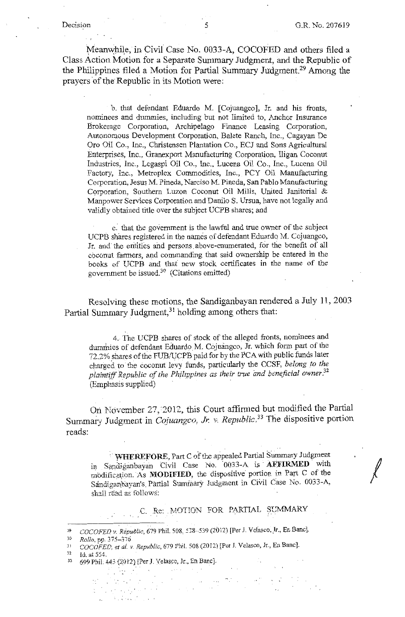Meanwhile, in Civil Case No. 0033-A, COCOFED and others filed a Class Action Motion for a Separate Summary Judgment, and the Republic of the Philippines filed a Motion for Partial Summary Judgment.29 Among the prayers of the Republic in its Motion were:

b. that defendant Eduardo M. [Cojuangco], Jr. and his fronts, nominees and dummies, including but not limited to, Anchor Insurance Brokerage Corporation, Archipelago Finance Leasing Corporation, Autonomous Development Corporation, Balete Ranch, Inc., Cagayan De Oro Oil Co., Inc., Christensen Plantation Co., ECJ and Sons Agricultural Enterprises, Inc., Granexport Manufacturing Corporation, Iligan Coconut Industries, Inc., Legaspi Oil Co., Inc., Lucena Oil Co., Inc., Lucena Oil Factory, Inc., Metroplex Commodities, Inc., PCY Oil Manufacturing Corporation, Jesus M. Pineda, Narciso M. Pineda, San Pablo Manufacturing Corporation, Southern Luzon Coconut Oil Mills, United Janitorial & Manpower Services Corporation and Danilo S. Ursua, have not legally and validly obtained title over the subject UCPB shares; and

c: that the government is the lawful and true owner of the subject UCPB shares registered in the names of defendant Eduardo M. Cojuangco, Jr. and the entities and persons. above-enumerated, for the benefit of all coconut farmers, and commanding that said ownership be entered in the books of UCPB and that new stock certificates in the name of the government be issued.30 (Citations omitted)

Resolving these motions, the Sandiganbayan rendered a July 11, 2003 Partial Summary Judgment,<sup>31</sup> holding among others that:

4. The UCPB shares of stock of the alleged fronts, nominees and dummies of defendant Eduardo. M. Cojuangco, Jr. which form part of the 72.2% shares of the FUB/UCPB paid for by the PCA with public funds later charged to the coconut levy funds, particularly the CCSF, *belong to the plaintiff Republic of the Philippines as their true and beneficial owner. 32*  (Emphasis supplied)

Ori. November 27, 2012, this Court affirmed but modified the Partial Summary Judgment in *Cojuangco, Jr. v. Republic*.<sup>33</sup> The dispositive portion reads:

WHEREFORE, Part C of the appealed Partial Summary Judgment in Sandiganbayan Civil Case No. 0033-A is **AFFIRMED** with modification. As **MODIFIED**, the dispositive portion in Part C of the Sandiganbayan's Partial Sumrriary Judgment in Civil Case No. 0033-A, shall read as follows:

C. Re: MOTION FOR PARTIAL SUMMARY

 $\sim 10^{-2}$  M  $_\odot$ 

30 *Rollo,* **pp. 375-376** 

 $\mathcal{L}_{\mathcal{A}}$  . The contribution of  $\mathcal{L}_{\mathcal{A}}$  , where  $\mathcal{L}_{\mathcal{A}}$ 

32 **Id. at 554.** 

a dalam

<sup>29</sup> COCOFED v. Republic, 679 Phil. 508, 538--539 (2012) [Per J. Velasco, Jr., En Banc].

<sup>31</sup>*COCOFED,* el *al. v. Republic,* 679 ?hiL 508 (2012) [Per J. Velasco, Jr., En Banc].

<sup>33 699</sup> Phil. 443 (2012) [Per J. Velasce, Jr., En Banc].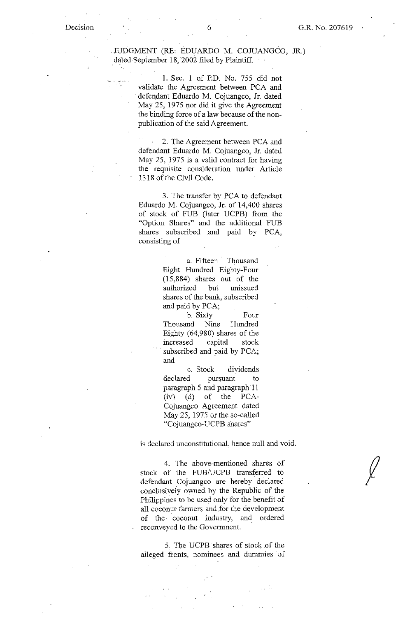JUDGMENT (RE: EDUARDO M. COJUANGCO, JR.) dated September 18, 2002 filed by Plaintiff.  $\cdot$ 

> 1. Sec. 1 of P.D. No. 755 did not validate the Agreement between PCA and defendant Eduardo M. Cojuangco, Jr. dated May 25, 1975 nor did it give the Agreement the binding force of a law because of the nonpublication of the said Agreement.

2. The Agreement between PCA and defendant Eduardo M. Cojuangco, Jr. dated May 25, 1975 is a valid contract for having the requisite consideration under Article 1318 of tbe Civil Code.

3. The transfer by PCA to defendant Eduardo M. Cojuangco, Jr. of 14,400 shares of stock of FUB (later UCPB) from tbe "Option Shares" and tbe additional FUB shares subscribed and paid by PCA, consisting of

> a. Fifteen Thousand Eight Hundred Eighty-Four (15,884) shares out of tbe authorized but unissued shares of tbe bank, subscribed and paid by PCA;

> b. Sixty Four Thousand Nine Hundred Eighty (64,980) shares of the increased capital stock subscribed and paid by PCA; and

c. Stock dividends declared pursuant to paragraph 5 and paragraph 11  $(iv)$  (d) of the PCA-Cojuangco Agreement dated May 25, 1975 or the so-called "Cojuangco-UCPB shares"

is declared unconstitutional, hence null and void.

4. The above-mentioned shares of stock of the FUB/UCPB transferred to defendant Cojuangco are hereby declared conclusively owned. by the Republic of the Philippines to be used only for the benefit of all coconut farmers and.for the development of the coconut industry, and ordered reconveyed to the Government.

5. The UCPB shares of stock of the alleged fronts, nominees and dummies of

 $\int$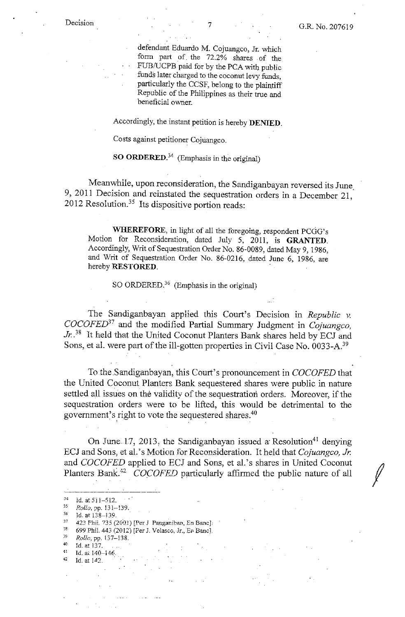defendant Eduardo M. Cojuangco, Jr. which form part of\_ the 72.2% shares of the FUB/UCPB paid for by the PCA with public funds later charged to the coconut levy funds, particularly the CCSF, belong to the plaintiff Republic of the Philippines as their true and beneficial owner.

Accordingly, the instant petition is hereby **DENIED.** 

Costs against petitioner Cojuangco.

**SO ORDERED.<sup>34</sup>**(Emphasis in the original)

Meanwhile, upon reconsideration, the Sandiganbayan reversed its June. 9, 2011 Decision and reinstated the sequestration orders in a December 21, 2012 Resolution.<sup>35</sup> Its dispositive portion reads:

WHEREFORE, in light of all the foregoing, respondent PCGG's Motion for Reconsideration, dated July 5, 2011, is **GRANTED.**  Accordingly, Writ of Sequestration Order No. 86-0089, dated May 9, 1986, and Writ of Sequestration Order No. 86-0216, dated June 6, 1986, are hereby **RESTORED.** -

SO ORDERED. $36$  (Emphasis in the original)

The Sandiganbayan applied this Court's Decision in *Republic v. COCOFED<sup>37</sup>*and the modified Partial Summary Judgment in *Cojuangco, Jr.. <sup>38</sup>*It held that the United Coconut Planters Bank shares held by ECJ and Sons, et al. were part of the ill-gotten properties in Civil Case No. 0033-A.39

To the.Sandiganbayan, this Court's pronouncement in *COCOFED* that the United Coconut Planters Bank sequestered shares were public in nature settled all issues on the validity of the sequestration orders. Moreover, if the sequestration orders were to be lifted, this would be detrimental to the government's right to vote the sequestered shares.<sup>40</sup>

On June 17, 2013, the Sandiganbayan issued a Resolution<sup>41</sup> denying ECJ and Sons. et aL' s Motion for Reconsideration. It held that *Cojuangco, Jr.*  and *COCOFED* applied to ECJ and Sons, et al.'s shares in United Coconut Planters Bank.<sup>42</sup> COCOFED particularly affirmed the public nature of all

<sup>34</sup> Id. at 511-512.<br><sup>35</sup> *Rollo*, pp. 131-139.<br><sup>36</sup> Mest 138-139.

<sup>36</sup> **ld. at 13-8-139.** .

<sup>37 423</sup> Phil. 735 (2001) [Per J. Panganiban, En Banc]:

<sup>38</sup>**699 Phil. 44.3 (2011) [Per J. Velasco, Jr., Er Banc].** 

<sup>39</sup> *Rollo,* **pp. 137-138.** 

 $^{40}$  Id. at  $137$ .<br><sup>41</sup> Id. at 140, 1

 $^{41}$  Id. at 140-146.<br>
<sup>42</sup> Id. at 142.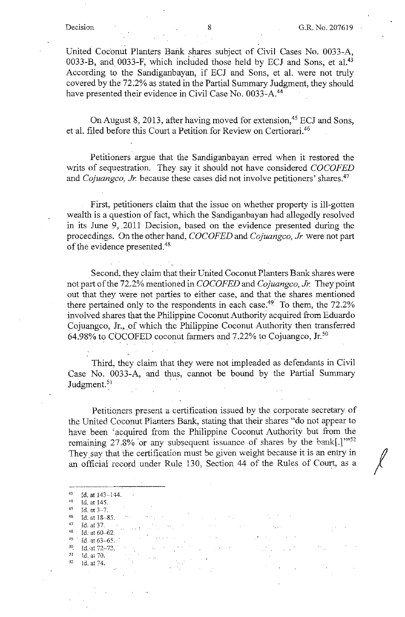United Coconut Planters Bank shares subject of Civil Cases No. 0033-A, 0033-B, and 0033-F, which included those held by ECJ and Sons, et al.<sup>43</sup> According to the Sandiganbayan, if ECJ and Sons, et al. were not truly covered by the 72.2% as stated in the Partial Summary Judgment, they should have presented their evidence in Civil Case No. 0033-A.<sup>44</sup>

On August 8, 2013, after having moved for extension,<sup>45</sup> ECJ and Sons, et al. filed before this Court a Petition for Review on Certiorari.46

Petitioners argue that the Sandiganbayan erred when it restored the writs of sequestration. They say it should not have considered *COCOFED*  and *Cojuangco, Jr.* because these cases did not involve petitioners' shares.<sup>47</sup>

First, petitioners claim that the issue on whether property is ill-gotten wealth is a question of fact, which the Sandiganbayan had allegedly resolved in its June 9, .2011 Decision, based on the evidence presented during the proceedings. On the other hand, *COCOFED* and *Cojuangco, Jr.* were not part of the evidence presented.48

Second, they claim that their United Coconut Planters Bank shares were not part of the 72.2% mentioned in *COCO FED* and *Cojuangco, Jr.* They point out that they were not parties to either case, and that the shares mentioned there pertained only to the respondents in each case.<sup>49</sup> To them, the 72.2% involved shares that the Philippine Coconut Authority acquired from Eduardo Cojuangco, Jr., of which the Philippine Coconut Authority then transferred 64.98% to COCOFED coconut farmers and  $7.22\%$  to Cojuangco, Jr.<sup>50</sup>

Third, they claim that they were not impleaded as defendants in Civil Case No. 0033-A, and thus, cannot be bound by the Partial Summary Judgment.<sup>51</sup>

Petitioners present a certification issued by the corporate secretary of the United Coconut Planters Bank, stating that their shares "do not appear to have been 'acquired from the Philippine Coconut Authority but from the remaining 27.8% or any subsequent issuance of shares by the bank[.]"52 They say that the certification must be given weight because it is an entry in an official record under Rule 130, Section 44 of the Rules of Court, as a

*50* **ld.·at72-73 ..**  $\frac{51}{32}$  id. at 70. 52 Id. at 74.

 $43$  Id. at  $143-144$ .  $44$  <sup>4</sup>ld. at 145. 45 Id. at  $3-7$ .<br>
46 Id. at  $18-8.5$ . 47 Id. at 37.<br>
48 Id. at 60-62. Id. at  $63-65$ .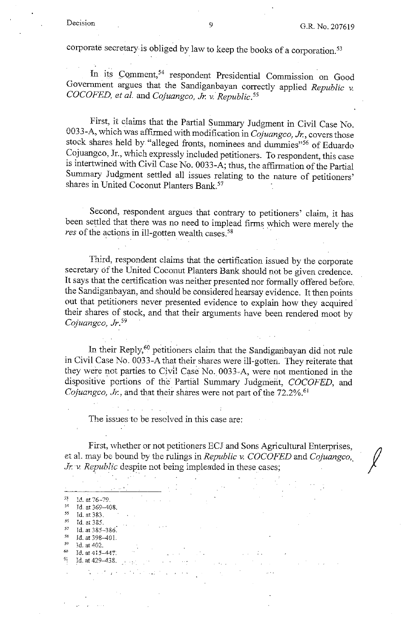corporate secretary is obliged by law to keep the books of a corporation. 53

In its Comment,<sup>54</sup> respondent Presidential Commission on Good Government argues that the Sandiganbayan correctly applied *Republic v. COCOFED, et al.* and *Cojuangco, Jr. v. Republic. <sup>55</sup>*

First, it claims that the Partial Summary Judgment in Civil Case No. 0033-A, which was affirmed with modification in *Cojuangco, Jr.,* covers those stock shares held by "alleged fronts, nominees and dummies"<sup>56</sup> of Eduardo Cojuangco, Jr., which expressly included petitioners. To respondent, this case is intertwined with Civil Case No. 0033-A; thus, the affirmation of the Partial Summary Judgment settled all issues relating to the nature of petitioners' shares in United Coconut Planters Bank.57

Second, respondent argues that contrary to petitioners' claim, it has been settled that there was no need to implead firms which were merely the res of the actions in ill-gotten wealth cases.<sup>58</sup>

Third, respondent claims that the certification issued by the corporate secretary of the United Coconut Planters Bank should not be given credence. It says that the certification was neither presented nor formally offered before, the Sandiganbayan, and should be considered hearsay evidence. It then points out that petitioners never presented evidence to explain how they acquired their shares of stock, and that their arguments have been rendered moot by *Cojuangco, Jr.* <sup>59</sup>

In their Reply,<sup>60</sup> petitioners claim that the Sandiganbayan did not rule in Civil Case No. 0033-A that their shares were ill-gotten. They reiterate that they were not parties to Civil Case No. 0033-A, were not mentioned in 1he dispositive portions of the Partial Summary Judgment, *COCOFED*, and *Cojuangco, Jr.*, and that their shares were not part of the 72.2%.<sup>61</sup>

The issues to be resolved in this case are:

First, whether or not petitioners ECJ and Sons Agricultural Enterprises, et al. may be bound by the rulings in *Republic v. COCOFED* and *Cojuangco*, *Jr. v. Republic* despite not being impleaded in these cases;

 $\frac{1}{2}$  ,  $\frac{1}{2}$  ,  $\frac{1}{2}$  ,  $\frac{1}{2}$  ,  $\frac{1}{2}$ 

 $^{59}$  1d. at 402.<br><sup>60</sup> 1d. at 415

 $\label{eq:2.1} \sum_{i=1}^n \left\{ \frac{1}{\|x_i\|^2} \sum_{i=1}^n \left\{ \frac{1}{\|x_i\|^2} \right\} \leq \frac{1}{\|x_i\|^2} \sum_{i=1}^n \left\{ \frac{1}{\|x_i\|^2} \right\} \leq \frac{1}{\|x_i\|^2} \sum_{i=1}^n \left\{ \frac{1}{\|x_i\|^2} \right\} \leq \frac{1}{\|x_i\|^2} \sum_{i=1}^n \left\{ \frac{1}{\|x_i\|^2} \right\} \leq \frac{1}{\|x_i\|^2} \$ **Contractor** 

<sup>53</sup> **Id. at 76-79.** 

 $\frac{54}{55}$  Id. at 369-408.<br> **Id.** at 383.<br>  $\frac{55}{56}$  Id. at 325.

sr:; **Id. at** *385.* 

 $^{57}$  Id. at  $385-386$ .

<sup>5</sup>  $\begin{array}{r} 58 \text{} \quad \text{Id.} \text{ at } 398-401. \\ 59 \quad \text{Id.} \text{ at } 400. \end{array}$ 

<sup>60</sup>**Id. at 415-44'1/':** 

 $\frac{51}{1}$  **Id. at 429-438.** *I*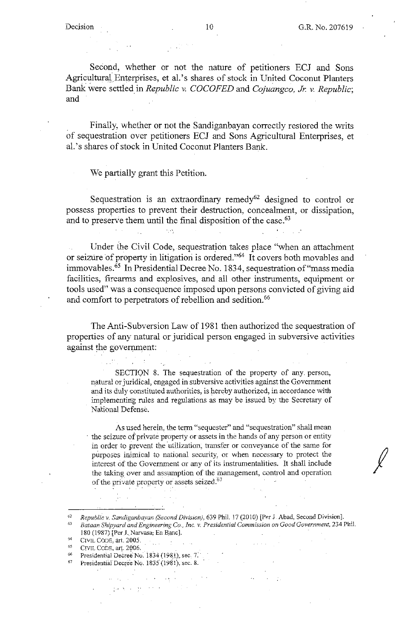Second, whether or not the nature of petitioners ECJ and Sons Agricultural Enterprises, et al.'s shares of stock in United Coconut Planters Bank were settled\_ in *Republic v. COCOFED* and *Cojuangco, Jr. v. Republic;*  and

Finaily, whether or not the Sandiganbayan correctly restored the writs of sequestration over petitioners ECJ and Sons Agricultural Enterprises, et ai. 's shares of stock in United Coconut Planters Bank.

We partially grant this Petition.

Sequestration is an extraordinary remedy<sup>62</sup> designed to control or possess properties to prevent their destruction, concealment, or dissipation, and to preserve them until the final disposition of the case.<sup>63</sup>

Under the Civil Code, sequestration takes place "when an attachment or seizure of property in litigation is ordered."<sup>64</sup> It covers both movables and immovables.<sup>65</sup> In Presidential Decree No. 1834, sequestration of "mass media facilities, firearms and explosives, and all other instruments, equipment or tools used" was a consequence imposed upon persons convicted of giving aid and comfort to perpetrators of rebellion and sedition.<sup>66</sup>

The Anti-Subversion Law of 1981 then authorized the sequestration of properties of any natural or juridical person engaged in subversive activities against the government:

SECTION 8. The sequestration of the property of any. person, natural or juridical, engaged in subversive activities against the Government and its duly constituted authorities, is hereby authorized, in accordance with implementing rules and regulations as may be issued by the Secretary of National Defense.

As used herein, the term "sequester" and "sequestration" shall mean the seizure of private property or assets in the hands of any person or entity in order to prevent the utilization, transfer or conveyance of the same for purposes inimical to national security, or when necessary to protect the interest of the Government or any of its instrumentalities. It shall include the taking over and assumption of the management, control and operation of the private property or assets seized. $67$ 

- 
- 65 CIVIL CODE, art. 2006, 66 Presidential Decree No. 1834 (1981), sec. 7.<br><sup>67</sup> Presidential Decree No. 1835 (1981), sec. 8.
- 

<sup>&</sup>lt;sup>62</sup> Republic v. Sandiganbayan (Second Division), 639 Phil. 17 (2010) [Per J. Abad, Second Division].<br><sup>63</sup> Bataan Shipyard and Engineering Co., Inc. v. Presidential Commission on Good Government, 234 Phil. 180 (1987) [Per J. Narvasa; En Banc].

CIVIL CODE, art. 2005.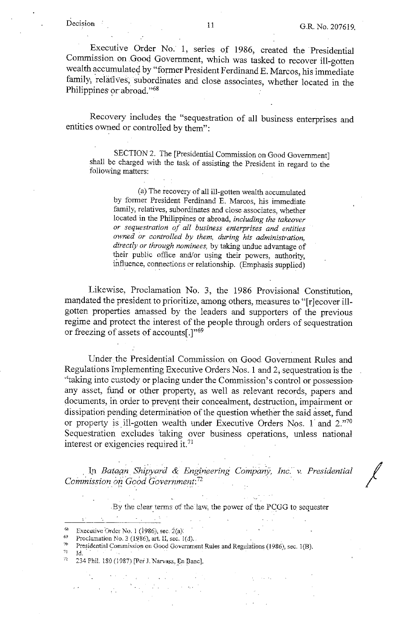Executive Order No. 1, series of 1986, created the Presidential Commission on Gooq Government, which was tasked to recover ill-gotten wealth accumulated by "former President Ferdinand E. Marcos, his immediate family, relatives, subordinates and close associates, whether located in the Philippines or abroad."<sup>68</sup>

Recovery includes the "sequestration of all business enterprises and entities owned or controlled by them":

SECTION 2. The [Presidential Commission on Good Government] shall be charged with the task of assisting the President in regard to the foliowing matters:

(a) The recovery of all ill-gotten wealth accumulated by former President Ferdinand E. Marcos, his immediate family, relatives, subordinates and close associates, whether located in the Philippines or abroad, *including the takeover or sequestration of all business enterprises and entities owned or controlled by them, during his administration, directly or through nominees,* by taking undue advantage of their public office and/or using their powers, authority, influence, connections er relationship. (Emphasis supplied)

Likewise, Proclamation No. 3, the 1986 Provisional Constitution, mandated the president to prioritize, among others, measures to "[r]ecover illgotten properties amassed by the leaders and supporters of the previous regime and protect the interest of the people through orders of sequestration or freezing of assets of accounts[.]"69

Under the Presidential Commission on Good Government Rules and Regulations Implementing Executive Orders Nos. I and 2; sequestration is the "taking into custody or placing under the Commission's control or possessionany asset, fund or other property, as well as relevant records, papers and documents, in order to prevent their concealment, destruction, impairment or dissipation pending determination of the question whether the said asset, fund or property is ill-gotten wealth under Executive Orders Nos. 1 and 2."70 Sequestration excludes taking over business operations, unless national interest or exigencies required it.<sup>71</sup>

In Bataan Shipyard & Engineering Company, Inc. v. Presidential *Commission on Good Government:<sup>72</sup>* 

.By the clear terms of the law, the power of the PCGG to sequester

<sup>58</sup> Executive Order No. 1 (1986); sec. 2(a):

 $\mathcal{L}^{\text{max}}$ 

*Proclamation No. 3 (1986), art. II, sec. 1(d).* 

**7** <sup>70</sup> Presidential Commission on Good Government Ruies and Regulations (1986), sec. 1(B).<br><sup>71</sup> Id.

- 
- .-, 234 Phi!. 180 *(* 1987) [Ped. Narvasa. En Banc].

 $\mathcal{N}_{\text{max}}$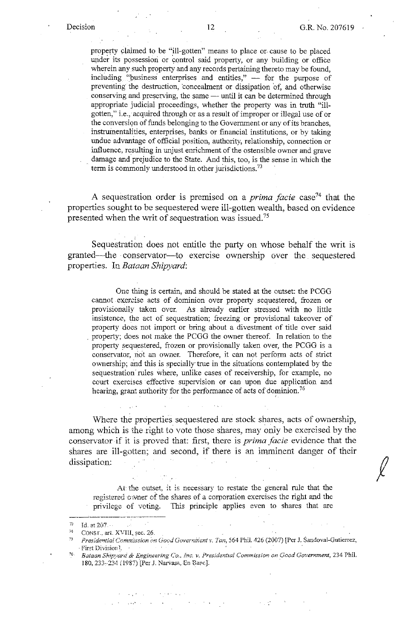property claimed to be "ill-gotten" means to place or cause to be placed under its possession or control said property, or any building or office wherein any such property and any records pertaining thereto may be found, including "business enterprises and entities,"  $-$  for the purpose of preventing the destruction, concealment or dissipation of, and otherwise conserving and preserving, the same — until it can be determined through appropriate judicial proceedings, whether the property was in truth "illgotten," i.e., acquired through or as a result of improper or illegal use of or the conversion of funds belonging to the Government or any of its branches, instruinentalities, enterprises, banks or financial institutions, or by taking undue advantage of official position, authority, relationship, connection or influence, resulting in unjust enrichment of the ostensible owner and grave damage and prejudice to the State. And this, too, is the sense in which the term is commonly understood in other jurisdictions.<sup>73</sup>

A sequestration order is premised on a *prima facie* case<sup>74</sup> that the properties sought to be sequestered were ill-gotten wealth, based on evidence presented when the writ of sequestration was issued. 75

Sequestration does not entitle the party on whose behalf the writ is granted-the · conservator-to exercise ownership over the . sequestered properties. In *Bataan Shipyard:* 

One thing is certain, and should be stated at the outset: the PCGG cannot . exercise acts of dominion over property sequestered, frozen or provisionally taken over. As already earlier stressed with no little insistence, the act of sequestration; freezing or provisional takeover of property does not import or bring about a divestment of title over said . property; does not make the PCGG the owner thereof. In relation to the property sequestered, frozen or provisionally taken over, the PCGG is a conservator, not an owner. Therefore, it can not perform acts of strict ownership; and this is specially true in the situations contemplated by the sequestration rules where, unlike cases of receivership, for example, no court exercises effective supervision or can upon due application and hearing, grant authority for the performance of acts of dominion.<sup>76</sup>

\Vhere the properties sequestered are stock shares, acts of ownership, among which is the right to vote those shares, may only be exercised by the conservator if it is proved that: first, there is *prima facie* evidence that the shares are ill-gotten; and second, if there is an imminent danger of their dissipation:

At the outset, it is necessary to restate the general rule that the registered owner of the shares of a corporation exercises the right and the privilege of voting. This principie applies even to shares that are

<sup>7~</sup> **Id. at 207.** ·

 $74$  CONST., art. XVIII, sec. 26.

*<sup>5</sup>Preside71tiai Commission* **Dn** *Govd Governirient v. Tan,* **564 Phil. 4-26 (2007) [Per J. Sar..dovai-Gutierrez,** 

<sup>·</sup> **First Divisior,** \ 76 · *Bataan Shipyard & F.J.!gin.eering Co., Inc. v. Preside.'1.hal Comm.issio.v:, on Good Government,* **234 PhiL**  180, 233-234 (1987) [Per J. Narvasa, En Barc].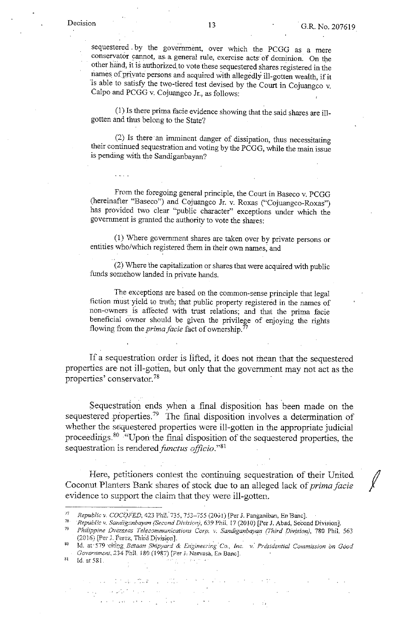$\frac{1}{2}$  .  $\frac{1}{2}$  .  $\frac{1}{2}$ 

sequestered by the government, over which the PCGG as a mere conservator cannot, as. a general rule, exercise acts· of dominion. On the other hand, it is authorized to vote these sequestered shares registered in the names of private persons and acquired with allegedly ill-gotten wealth, if it is able to satisfy the two-tiered test devised by the Court in Cojuangco v. Calpo and PCGG v. Cojuangco Jr., as follows:

(1) Is there prima facie evidence showing that the said shares are illgotten and thus belong to the State?

(2) Is there an imminent danger of dissipation, thus necessitating their continued sequestration and voting by the PCGG, while the main issue is pending with the Sandiganbayan?

From the foregoing general principle, the Court in Baseco v. PCGG (hereinafter "Baseco") and Cojuangco Jr. v. Roxas ("Cojuangco-Roxas") has provided two clear "public character" exceptions under which the government is granted the authority to vote the shares:

 $(1)$  Where government shares are taken over by private persons or entities who/which registered them in their own names, and

(2) Where the capitalization or shares that were acquired with public funds somehow landed in private hands.

The exceptions are based on the common-sense principle that legal fiction must yield to truth; that public property registered in the names of non-owners is affected with trust relations; and that the prima facie beneficial owner should be given the privilege of enjoying the rights flowing from the *prima facie* fact of ownership.<sup>77</sup>

If a sequestration order is lifted, it does not mean that the sequestered properties are not ill-gotten, but only that the government may not act as the properties' conservator.<sup>78</sup>

Sequestration ends when a finai disposition has been made on the sequestered properties.<sup>79</sup> The final disposition involves a determination of whether the sequestered properties were ill-gotten in the appropriate judicial proceedings.<sup>80</sup> "Upon the final disposition of the sequestered properties, the sequestration is rendered *functus officio*."<sup>81</sup>

Here, petitioners contest the continuing sequestration of their United Coconut Planters Bank shares of stock due to an alleged lack of *prima facie* evidence to support the ciaim that they were ill-gotten.

and group and they

 $\sim 100$ 

 $\sim 10$ 

 $s_1$  Id. at 581.

 $\mathcal{L}^{\mathcal{A}}$  , and  $\mathcal{L}^{\mathcal{A}}$  , and  $\mathcal{L}^{\mathcal{A}}$  , and  $\mathcal{L}^{\mathcal{A}}$  , and  $\mathcal{L}^{\mathcal{A}}$ 

 $\sim 10^{-1}$  km

 $\label{eq:2} \mathcal{L}_{\text{G}}(\mathbf{r}) = \mathcal{L}_{\text{G}}(\mathbf{r}^{\text{H}}_{\text{G}}(\mathbf{r}^{\text{H}}_{\text{G}}(\mathbf{r}^{\text{H}}_{\text{G}}(\mathbf{r}^{\text{H}}_{\text{G}})))$ 

<sup>&</sup>lt;sup>77</sup> Republic v. COCOFED, 423 Phil. 735, 753–755 (2001) [Per J. Panganiban, En Banc].<br><sup>78</sup> Republic v. Sandiganbayan (Second Division), 639 Phil. 17 (2010) [Per J. Abad, Second Division].<br><sup>79</sup> Philippine Overseas Telecomm (2016) [Per J. Perez, Third Division].<br><sup>80</sup> Id. at 579 citing *Bdtaan Shipyard & Engineering Co., Inc. v. Presidential Commission on Good* 

Government, 234 Phil. 180 (1987) [Per J. Narvasa, En Banc].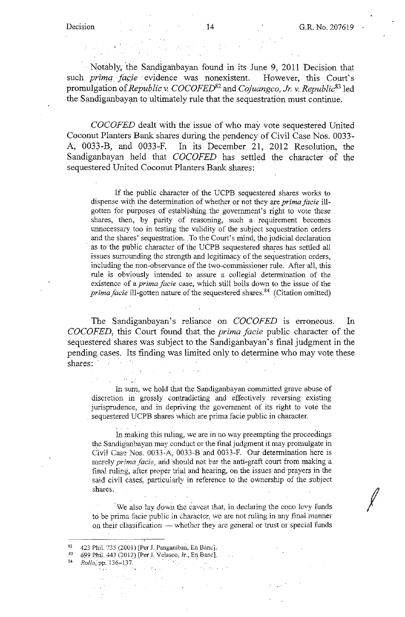· Notably, the Sandiganbayan found in its June 9, 2011 Decision that such *prima facie* evidence was nonexistent. However, this Court's promulgation of *Republic v. COCOFED82* and *Cojuangco, Jr. v. Republic83* led the Sandiganbayan to ultimately rule that the sequestration must continue.

*COCOFED* dealt with the issue of who may vote sequestered United Coconut Planters Bank shares during the pendency of Civil Case Nos. 0033- A, 0033-B, and 0033-F. In its December 21, 2012 Resolution, the Sandiganbayan held that *COCOFED* has settled the character of the sequestered United Coconut Planters Bank shares:

If the public character of the UCPB sequestered shares works to dispense with the determination of whether or not they are *prima facie* illgotten for purposes of establishing the government's right to vote these shares, then, by parity of reasoning, such a requirement becomes unnecessary too in testing the validity of the subject sequestration orders and the shares' sequestration. To the Court's mind, the judicial declaration as to the public character of the UCPB sequestered shares has settled all issues surrounding the strength and legitimacy of the sequestration orders, including the non-observance of the two-commissioner rule. After all, this rule is obviously intended to assure a collegial determination of the existence of a *prima facie* case, which still boils down to the issue of the *prima facie* ill-gotten nature of the sequestered shares.<sup>84</sup> (Citation omitted)

The Sandiganbayan's reliance on *COCOFED* is erroneous. In *COCOFED,.* this Court found that the *prima facie* public character of the sequestered shares was subject to the Sandiganbayan's final judgment in the pending cases. Its finding was limited only to determine who may vote these shares:

In sum, we hold that the Sandiganbayan committed grave abuse of discretion in grossly contradicting and effectively reversing existing jurisprudence, and in depriving the government of its right to vote the sequestered UCPB shares which are prirna facie public in character.

In making this ruling, we are in no way preempting the proceedings the Sandiganbayan may conduct or the final judgment it may promulgate in Civil Case Nos. 0033-A, 0033-B and 0033-F. Our determination here is merely *prima facie*, and should not bar the anti-graft court from making a final ruling, after proper trial and hearing, on the issues and prayers in the said civil cases, particularly in reference to the ownership of the subject shares.

We also lay down the caveat that, in declaring the coco levy funds to be prima facie public in character, we are not ruling in any final manner on their classification - whether they are general or trust or special funds

- 83 **699 Phil.\_'443 (2012.) [Perj. Vefa.sco, Jr., En Banc].**
- <sup>34</sup> Rollo, pp. 136-137.

<sup>82 423</sup> Phil. **735 (2001)** [Per J. Panganiban, En Banc].<br>83 500 Phil.  $AA3$  (2012) [Per J. Velasco, Jr. En Banc].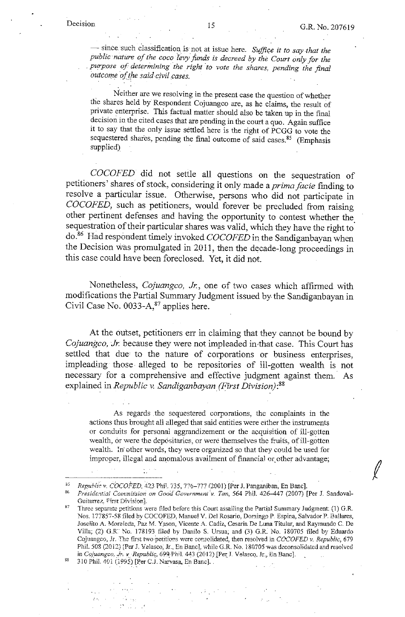$\ell$ 

- since such classification is not at issue here. *Suffice it to say that the public nature of the coco Ievy funds is decreed by the Court only for the*  . *purpose of determining the right ·to vote the shares, pending the final outcome of the said civil cases.* 

Neither are we resolving in the present case the question of whether the shares held by Respondent Cojuangco are, as he claims, the result of private enterprise. This factual matter should also be taken up in the final decision in the cited cases that are pending in the court a quo. Again suffice it to say that the only issue settled here is the right of PCGG to vote the sequestered shares, pending the final outcome of said cases.<sup>85</sup> (Emphasis supplied)

*COCOFED* did not settle all questions on the sequestration of petitioners' shares of stock, considering it only made a *prima facie* finding to resolve a particular issue. Otherwise, persons who did not participate in *COCOFED,* such as petitioners, would forever be precluded from raising other pertinent defenses and having the opportunity to contest whether the sequestration of their particular shares was valid, which they have the right to do.86 Had respondent timely invoked *COCOFED* in the Sandiganbayan when the Decision was promulgated in 2011, then the decade-long proceedings in this case could have been foreclosed. Yet, it did not.

Nonetheless, *Cojuangco, Jr.*, one of two cases which affirmed with modifications the Partial Summary Judgment issued by the Sandiganbayan in Civil Case No.  $0033-A$ ,  $87$  applies here.

At the outset, petitioners err in claiming that they cannot be bound by *Cojuangco, Jr.* because they were not impleaded in that case. This Court has settled that due to the nature of corporations or business enterprises, impleading those alleged to be repositories of ill-gotten wealth is not necessary for a comprehensive and effective judgment against them. As explained in *Republic v. Sandiganbayan (First Division):88* 

As regards . the sequestered corporations, the complaints in the actions thus brought all alleged that said entities were either the instruments or conduits for personal aggrandizement or the acquisition of ill-gotten wealth, or were the depositaries, or were themselves the fruits, of ill-gotten wealth. ln· other words, they were organized so that they could be used for improper, illegal and anomalous availment of financial or other advantage;

<sup>&</sup>lt;sup>85</sup> Republic v. COCOFED, 423 Phil. 735, 776–777 (2001) [Per J. Panganiban, En Banc].<br><sup>86</sup> Presidential Commission on Good Government v. Tan, 564 Phil. 426–447 (2007) [Per J. Sandoval-Guiterrez, First Division].

<sup>&</sup>lt;sup>87</sup> Three separate petitions were filed before this Court assailing the Partial Summary Judgment: (1) G.R. Nos. 177857-58 filed by COCOFED, Manuel V. Del Rosario, Domingo P. Espina, Salvador P. Ballares, Joselito A. Moraleda, Paz M. Yason, Vicente A. Cadiz, Cesaria De Luna Titular, and Raymundo C. De Villa; (2) G.R. No. 178193 filed by Danilo S. Ursua; and (3) G.R. No. 180705 filed by Eduardo **Cojuangco, Jr. The first PNo·Peti.ti.ons vvere consolidated, then resolved J.n** *COCO FED* **v.** *Republic,* **679**  Phil. 508 (2012) [Per J. Velasco; Jr., En Banc]. while G.R. No. 180705 was deconsolidated and resolved **in** *Cojucmgco ..* **\_J..-, v\_,** *Republic;,* **699\_· Phil. ¥3 (20 l ?) f Per;\_J. Velascq, Jr.\_, En Banc].** 

<sup>310</sup> Phil. 401 (1995) [Per C.J. Narvasa, En Banc].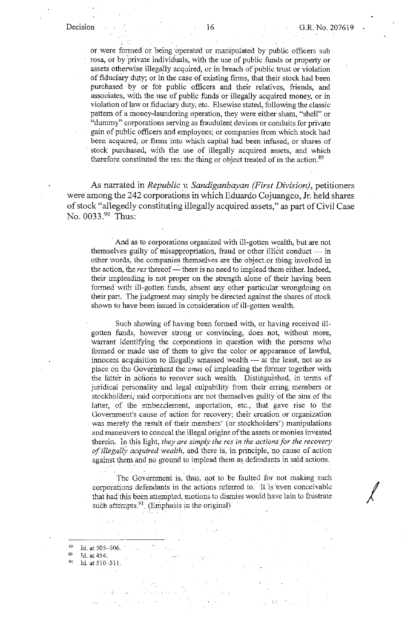or were formed or being operated or manipulated by public officers sub rosa, ot by private individuals, with the use of public funds or property or assets otherwise illegally acquired, or in breach of public trust or violation of fiduciary duty; or in the case of existing firms, that their stock had been purchased by or for public officers and their relatives, friends, and associates, with the use of public funds or illegally acquired money, or in violation oflaw or fiduciary duty, etc. Elsewise stated, following the classic pattern of a money-laundering operation, they were either sham, "shell" or "dummy" corporations serving as fraudulent devices or conduits for private gain of public officers and employees; or companies from which stock had been acquired, or firms into which capital had been infused, or shares of stock purchased, with the use of illegally acquired assets, and which therefore constituted the res: the thing or object treated of in the action.<sup>89</sup>

As narrated in *Republic* v. *Sandiganbayan (First Division),* petitioners were among the 242 corporations in which Eduardo Cojuangco, Jr. held shares of stock "allegedly constituting illegally acquired assets," as part of Civil Case No. 0033.90 Thus:

And as to corporations organized with ill-gotten wealth, but are not themselves guilty of misappropriation, fraud or other illicit conduct  $-$  in other words, the companies themselves are the object.or thing involved in the action, the *res* thereof — there is no need to implead them either. Indeed, their impleading is not proper on the strength alone of their having been formed with ill-gotten funds, absent any other particular wrongdoing on their part. The judgment may simply be directed against the shares of stock shown to have been issued in consideraticn of ill-gotten wealth.

Such showing of having been formed with, or having received illgotten funds, however strong or convincing, does not, without more, wairant identifying the corporations in question with the persons who formed or made use of them to give the color or appearance of lawful, innocent acquisition to illegally amassed wealth --- at the least, not so as place on the Government the *onus* of impleading the former together with the latter in actions to recover such wealth. Distinguished, in terms of juridical personality and legal culpability from their erring members or stockholders, said corporations are not themselves guilty of the sins of the latter, of the embezzlement, asportation, etc., that gave rise to the Government's cause of action for recovery: their creation or organization was merely the result of their members' (or stockholders') manipulations and maneuvers to conceal the illegal origins of the assets or monies invested therein. In this light, *they are simply the res in the actions for the recovery of illegally acquired wealth*, and there is, in principle, no cause of action against them and no ground to implead them as defendants in said actions.

The Government is, thus, not to be faulted for not making such corporations defendants in the actions referred to. It is even conceivable that had this been attempted, motions to dismiss would have lain to frustrate such attempts.  $91$  (Emphasis in the original)

1d. at 510-511.

<sup>89</sup>**Id. at 505-506.** · 90 **Jd. at 454.**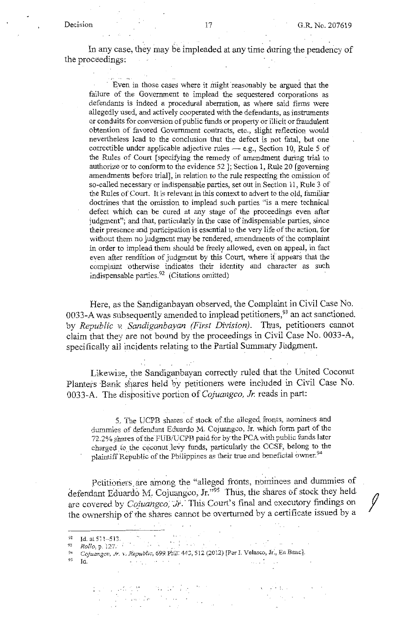In any case, they may be impleaded at any time during the pendency of the proceedings:

Even in those cases where it might reasonably be argued that the failure of the Government to implead the sequestered corporations as defendants is indeed a procedural aberration, as where said firms were allegedly used, and actively cooperated with the defendants, as instruments or conduits for conversion of public funds or property or illicit or fraudulent obtention of favored Government contracts, etc., slight reflection would nevertheless lead to the conclusion that the defect is not fatal, but one correctible under applicable adjective rules — e.g., Section 10, Rule 5 of the Rules of Court [ specifying the remedy of amendment during trial to authorize or to conform to the evidence 52 ]; Section 1, Rule 20 [governing] amendments before trial], in relation to the rule respecting the omission of so-called necessary or indispensable parties, set out in Section 11, Rule 3 of the Rules of Court. It is relevant in this context to advert to the old, familiar doctrines that the omission to implead such parties "is a mere technical defect which can be cured at any stage of the proceedings even after judgment"; and that, particularly in the case of indispensable parties, since their presence and participation is essential to the very life of the action, for without them no judgment may be rendered, amendments of the complaint in order to implead them should be freely allowed, even on appeal, in fact even after rendition of judgment by this Court, where if appears that the complaint otherwise indicates their identity and character as such indispensable parties.<sup>92</sup> (Citations omitted)

Here, as the Sandiganbayan observed, the Complaint in Civil Case No. 0033-A was subsequently amended to implead petitioners,<sup>93</sup> an act sanctioned. by *Republic* v. *Sandiganbayan (First Division).* Thus, petitioners cannot claim that they are not bound by the proceedings in Civil Case No. 0033-A, specifically all incidents relating to the Partial Summary Judgment.

Likewise, the Sandiganbayan correctly ruled that the United Coconut Planters Bank shares held by petitioners were included in Civil Case No. 0033-A. The dispositive portion of *Cojuangco, Jr.* reads in part:

5.. The UCPB shares of stock of.the alleged fronts, nominees and dummies of d\_efendant Eduardo M. Cojuangco, Jr. which form part of the 72.2% shares of the FUB/UCPB paid for by the PCA with public funds later charged to the coconut levy funds, particularly the CCSF, belong to the plaintiff Republic of the Philippines as their true and beneficial owner.<sup>94</sup>

Petitioners are among the "alleged fronts, nominees and dummies of defendant Eduardo M. Cojuangco, Jr."95 Thus, the shares of stock they heldare covered by *Cojuangco*; *Ir.* This Court's final and executory findings on the ownership of the shares cannot be overturned by a certificate issued by a

 $\sim 1000$  M  $_\odot$  ,  $\sim 100$ 

 $\sim 10^{11}$  m  $^{-1}$ 

 $\sim$ 

 $\frac{1}{2} \left( \left( \frac{1}{2} \sum_{i=1}^n \frac{1}{2} \left( \frac{1}{2} \sum_{i=1}^n \frac{1}{2} \left( \frac{1}{2} \sum_{i=1}^n \frac{1}{2} \right) \right) \right) - \frac{1}{2} \sum_{i=1}^n \frac{1}{2} \sum_{i=1}^n \frac{1}{2} \sum_{i=1}^n \frac{1}{2} \sum_{i=1}^n \frac{1}{2} \sum_{i=1}^n \frac{1}{2} \sum_{i=1}^n \frac{1}{2} \sum_{i=1}^n \frac{1}{2} \sum_{$ 

 $^{95}$   $\,$  Id.

<sup>92</sup> Id. at 511--513.<br><sup>93</sup> *Rollo, p. 127.*<br><sup>94</sup> *Cojuangco, Jr. v. Republic,* 699. Pbit: 443, 512 (2012) [Per J. Velasco, Jr., En Banc].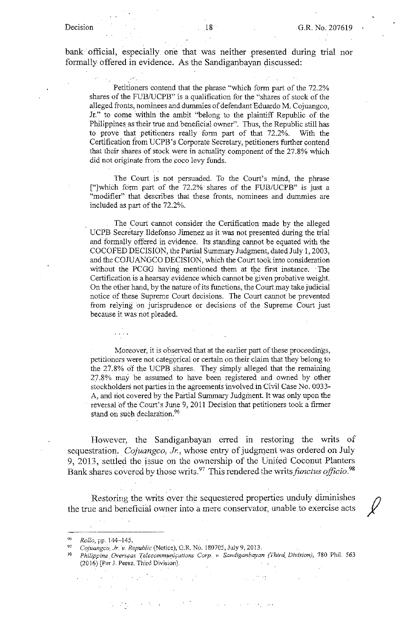bank official, especially. one that was neither presented during trial nor formally offered in evidence. As the Sandiganbayan discussed:

Petitioners contend that the phrase "which form part of the 72.2% shares of the FUB/UCPB" is a qualification for the "shares of stock of the alleged fronts, nominees and dummies of defendant Eduardo M. Cojuangco, Jr." to come within the ambit "belong to the plaintiff Republic of the Philippines as their true and beneficial owner". Thus, the Republic still has to prove that petitioners really form part of that 72.2%. With the Certification from UCPB's Corporate Secretary, petitioners further contend that their shares of stock were in actuality component of the 27.8% which did not originate from the coco levy funds.

The Court js not persuaded. To the Court's mind, the phrase ["]which form part of the 72.2% shares of the FUB/UCPB" is just a "modifier" that describes that these fronts, nominees and dummies are included as part of the 72.2%.

The Court cannot consider the Certification made by the alleged UCPB Secretary Ildefonso Jimenez as it was not presented during the trial and formally offered in evidence. Its standing cannot be equated with the COCO FED DECISION, the Partial Summary Judgment, dated July I, 2003, and the COJUANGCO DECISION, which the Court took into consideration without the PCGG having mentioned them at the first instance. The Certification is a hearsay evidence which cannot be given probative weight. On the other hand, by the nature of its functions, the Court may take judicial notice of these Supreme Court decisions. The Court cannot be prevented from relying on jurisprudence or decisions of the Supreme Court just because it was not pleaded.

Moreover, it is observed that at the earlier part of these proceedings, petitioners were not categorical or certain on their claim that they belong to the 27.8% of the UCPB shares. They simply alleged that the remaining 27.8% may be assumed to have been registered and owned by other stockholders not parties in the agreements involved in Civil Case No. 0033-A, and not covered by the Partial Summary Judgment. It was only upon the reversal of the Court's June 9, 2011 Decision that petitioners took a firmer stand on such declaration.<sup>96</sup>

However, the Sandiganbayan erred in restoring the writs of sequestration. *Cojuangco, Jr.,* whose entry of judgment was ordered on July 9, 2013, settled the issue on the ownership of the United Coconut Planters Bank shares covered by those writs.<sup>97</sup> This rendered the writs *functus officio*.<sup>98</sup>

Restoring the writs over the sequestered properties unduly diminishes the true and beneficial ovmer into a mere conservator, unable to exercise acts *){* 

 $\sim$   $\sim$   $\sim$ 

<sup>97</sup> Cojuangco, Jr. v. Republic (Notice), G.R. No. 180705, July 9, 2013.<br><sup>98</sup> *Philippine Overseas Telecommunications Corp. v. Sandiganbayan (Third, Division), 780 Phil. 563* **(2016) [Per J. Perez, Third Division].** 

 $\mathbb{R}^{N \times N}$ 

*Rollo, pp. 144-145.*<br>Cojuangco, Jr. v. Republic (Notice), G.R. No. 180705, July 9, 2013.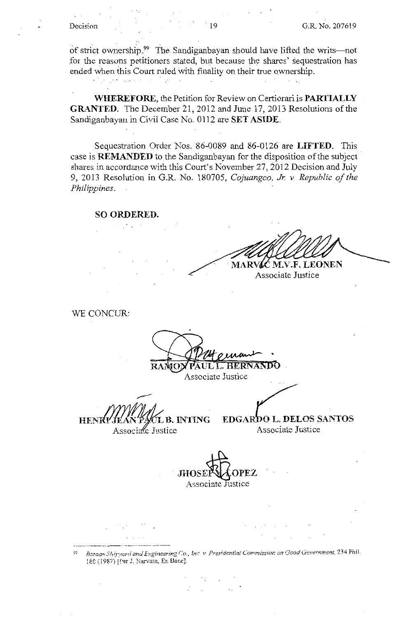of strict ownership.<sup>99</sup> The Sandiganbayan should have lifted the writs-not for the reasons petitioners stated, but because the shares' sequestration has ended when this Court ruled with finality on their true ownership.

**Contract Contract** 

**WHEREFORE,** the Petition for Review on Certiorari is **PARTIALLY GRANTED.** The December 21, 2012 and June 17, 2013 Resolutions of the Sandiganbayan in Civil Case No. 0112 are **SET ASIDE.** 

Sequestration Order Nos. 86-0089 and 86-0126 are **LIFTED.** This case is **REMANDED** to the Sandiganbayan for the disposition of the subject shares in accordance with this Court's November 27, 2012 Decision and July 9, 2013 Resolution in G.R. No. 180705, *Cojuangco, Jr. v Republic of the Philippines.* 

**SO ORDERED.** 

 $\mathcal{F}_{\mathcal{A}}$ 

 $\mathcal{L}^{\mathcal{L}}(\mathcal{L}^{\mathcal{L}})$  , where  $\mathcal{L}^{\mathcal{L}}(\mathcal{L}^{\mathcal{L}})$  and  $\mathcal{L}^{\mathcal{L}}(\mathcal{L}^{\mathcal{L}})$ 

MARVIC M.V.F. LEONEN

Associate Justice

WE CONCUR:

**L.L. HERNANDO** 

Associate Justice

**HENR** L B. INTING Associate Justice

**EDGARDO L. DELOS SANTOS** Associate Justice

. **JlIOSE~OPEZ**  Associate Justice

<sup>99</sup> Bataan Shirvard and Engineering Co., Inc. v. Presidential Commission on Good Government, 234 Phil. 180 (1987) [Per J. Narvasa, En Banc].